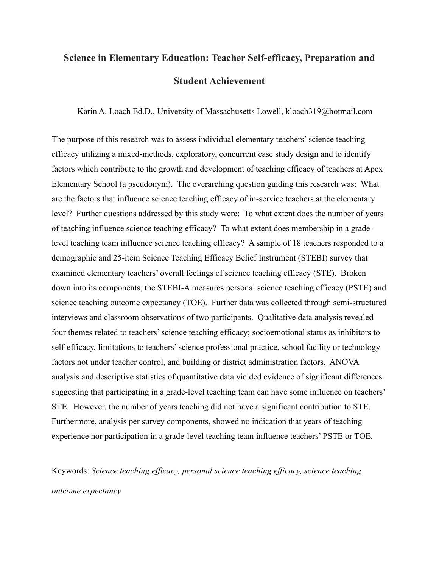# **Science in Elementary Education: Teacher Self-efficacy, Preparation and Student Achievement**

Karin A. Loach Ed.D., University of Massachusetts Lowell, kloach319@hotmail.com

The purpose of this research was to assess individual elementary teachers' science teaching efficacy utilizing a mixed-methods, exploratory, concurrent case study design and to identify factors which contribute to the growth and development of teaching efficacy of teachers at Apex Elementary School (a pseudonym). The overarching question guiding this research was: What are the factors that influence science teaching efficacy of in-service teachers at the elementary level? Further questions addressed by this study were: To what extent does the number of years of teaching influence science teaching efficacy? To what extent does membership in a gradelevel teaching team influence science teaching efficacy? A sample of 18 teachers responded to a demographic and 25-item Science Teaching Efficacy Belief Instrument (STEBI) survey that examined elementary teachers' overall feelings of science teaching efficacy (STE). Broken down into its components, the STEBI-A measures personal science teaching efficacy (PSTE) and science teaching outcome expectancy (TOE). Further data was collected through semi-structured interviews and classroom observations of two participants. Qualitative data analysis revealed four themes related to teachers' science teaching efficacy; socioemotional status as inhibitors to self-efficacy, limitations to teachers' science professional practice, school facility or technology factors not under teacher control, and building or district administration factors. ANOVA analysis and descriptive statistics of quantitative data yielded evidence of significant differences suggesting that participating in a grade-level teaching team can have some influence on teachers' STE. However, the number of years teaching did not have a significant contribution to STE. Furthermore, analysis per survey components, showed no indication that years of teaching experience nor participation in a grade-level teaching team influence teachers' PSTE or TOE.

Keywords: *Science teaching efficacy, personal science teaching efficacy, science teaching outcome expectancy*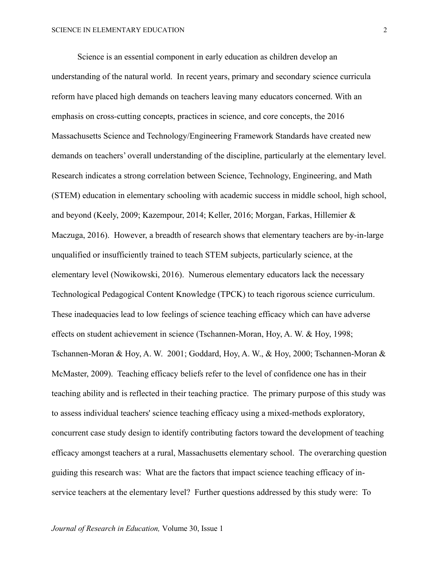Science is an essential component in early education as children develop an understanding of the natural world. In recent years, primary and secondary science curricula reform have placed high demands on teachers leaving many educators concerned. With an emphasis on cross-cutting concepts, practices in science, and core concepts, the 2016 Massachusetts Science and Technology/Engineering Framework Standards have created new demands on teachers' overall understanding of the discipline, particularly at the elementary level. Research indicates a strong correlation between Science, Technology, Engineering, and Math (STEM) education in elementary schooling with academic success in middle school, high school, and beyond (Keely, 2009; Kazempour, 2014; Keller, 2016; Morgan, Farkas, Hillemier & Maczuga, 2016). However, a breadth of research shows that elementary teachers are by-in-large unqualified or insufficiently trained to teach STEM subjects, particularly science, at the elementary level (Nowikowski, 2016). Numerous elementary educators lack the necessary Technological Pedagogical Content Knowledge (TPCK) to teach rigorous science curriculum. These inadequacies lead to low feelings of science teaching efficacy which can have adverse effects on student achievement in science (Tschannen-Moran, Hoy, A. W. & Hoy, 1998; Tschannen-Moran & Hoy, A. W. 2001; Goddard, Hoy, A. W., & Hoy, 2000; Tschannen-Moran & McMaster, 2009). Teaching efficacy beliefs refer to the level of confidence one has in their teaching ability and is reflected in their teaching practice. The primary purpose of this study was to assess individual teachers' science teaching efficacy using a mixed-methods exploratory, concurrent case study design to identify contributing factors toward the development of teaching efficacy amongst teachers at a rural, Massachusetts elementary school. The overarching question guiding this research was: What are the factors that impact science teaching efficacy of inservice teachers at the elementary level? Further questions addressed by this study were: To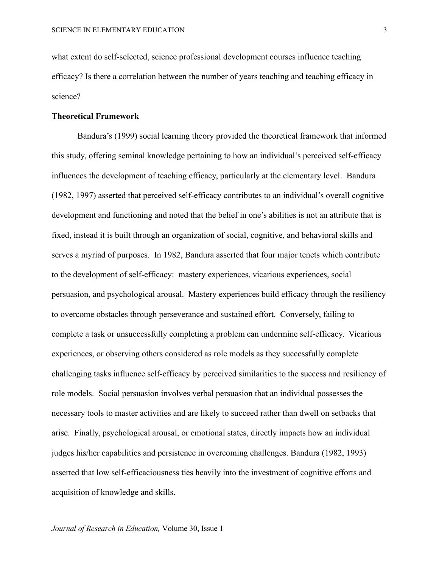what extent do self-selected, science professional development courses influence teaching efficacy? Is there a correlation between the number of years teaching and teaching efficacy in science?

### **Theoretical Framework**

Bandura's (1999) social learning theory provided the theoretical framework that informed this study, offering seminal knowledge pertaining to how an individual's perceived self-efficacy influences the development of teaching efficacy, particularly at the elementary level. Bandura (1982, 1997) asserted that perceived self-efficacy contributes to an individual's overall cognitive development and functioning and noted that the belief in one's abilities is not an attribute that is fixed, instead it is built through an organization of social, cognitive, and behavioral skills and serves a myriad of purposes. In 1982, Bandura asserted that four major tenets which contribute to the development of self-efficacy: mastery experiences, vicarious experiences, social persuasion, and psychological arousal. Mastery experiences build efficacy through the resiliency to overcome obstacles through perseverance and sustained effort. Conversely, failing to complete a task or unsuccessfully completing a problem can undermine self-efficacy. Vicarious experiences, or observing others considered as role models as they successfully complete challenging tasks influence self-efficacy by perceived similarities to the success and resiliency of role models. Social persuasion involves verbal persuasion that an individual possesses the necessary tools to master activities and are likely to succeed rather than dwell on setbacks that arise. Finally, psychological arousal, or emotional states, directly impacts how an individual judges his/her capabilities and persistence in overcoming challenges. Bandura (1982, 1993) asserted that low self-efficaciousness ties heavily into the investment of cognitive efforts and acquisition of knowledge and skills.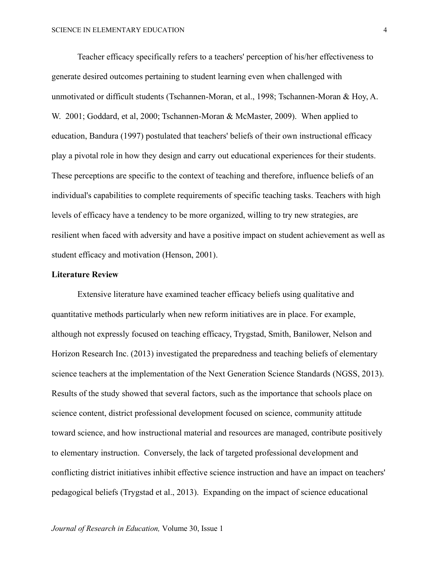Teacher efficacy specifically refers to a teachers' perception of his/her effectiveness to generate desired outcomes pertaining to student learning even when challenged with unmotivated or difficult students (Tschannen-Moran, et al., 1998; Tschannen-Moran & Hoy, A. W. 2001; Goddard, et al, 2000; Tschannen-Moran & McMaster, 2009). When applied to education, Bandura (1997) postulated that teachers' beliefs of their own instructional efficacy play a pivotal role in how they design and carry out educational experiences for their students. These perceptions are specific to the context of teaching and therefore, influence beliefs of an individual's capabilities to complete requirements of specific teaching tasks. Teachers with high levels of efficacy have a tendency to be more organized, willing to try new strategies, are resilient when faced with adversity and have a positive impact on student achievement as well as student efficacy and motivation (Henson, 2001).

### **Literature Review**

Extensive literature have examined teacher efficacy beliefs using qualitative and quantitative methods particularly when new reform initiatives are in place. For example, although not expressly focused on teaching efficacy, Trygstad, Smith, Banilower, Nelson and Horizon Research Inc. (2013) investigated the preparedness and teaching beliefs of elementary science teachers at the implementation of the Next Generation Science Standards (NGSS, 2013). Results of the study showed that several factors, such as the importance that schools place on science content, district professional development focused on science, community attitude toward science, and how instructional material and resources are managed, contribute positively to elementary instruction. Conversely, the lack of targeted professional development and conflicting district initiatives inhibit effective science instruction and have an impact on teachers' pedagogical beliefs (Trygstad et al., 2013). Expanding on the impact of science educational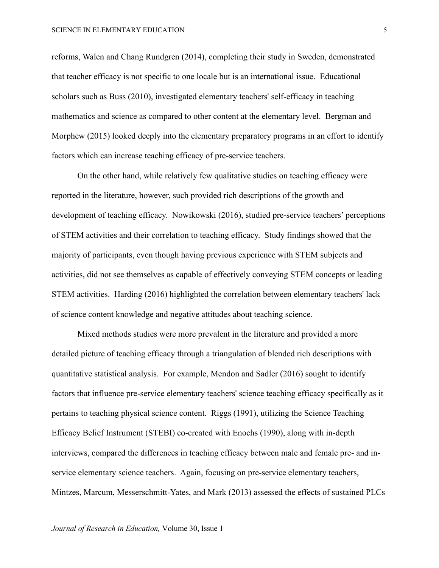reforms, Walen and Chang Rundgren (2014), completing their study in Sweden, demonstrated that teacher efficacy is not specific to one locale but is an international issue. Educational scholars such as Buss (2010), investigated elementary teachers' self-efficacy in teaching mathematics and science as compared to other content at the elementary level. Bergman and Morphew (2015) looked deeply into the elementary preparatory programs in an effort to identify factors which can increase teaching efficacy of pre-service teachers.

On the other hand, while relatively few qualitative studies on teaching efficacy were reported in the literature, however, such provided rich descriptions of the growth and development of teaching efficacy. Nowikowski (2016), studied pre-service teachers' perceptions of STEM activities and their correlation to teaching efficacy. Study findings showed that the majority of participants, even though having previous experience with STEM subjects and activities, did not see themselves as capable of effectively conveying STEM concepts or leading STEM activities. Harding (2016) highlighted the correlation between elementary teachers' lack of science content knowledge and negative attitudes about teaching science.

Mixed methods studies were more prevalent in the literature and provided a more detailed picture of teaching efficacy through a triangulation of blended rich descriptions with quantitative statistical analysis. For example, Mendon and Sadler (2016) sought to identify factors that influence pre-service elementary teachers' science teaching efficacy specifically as it pertains to teaching physical science content. Riggs (1991), utilizing the Science Teaching Efficacy Belief Instrument (STEBI) co-created with Enochs (1990), along with in-depth interviews, compared the differences in teaching efficacy between male and female pre- and inservice elementary science teachers. Again, focusing on pre-service elementary teachers, Mintzes, Marcum, Messerschmitt-Yates, and Mark (2013) assessed the effects of sustained PLCs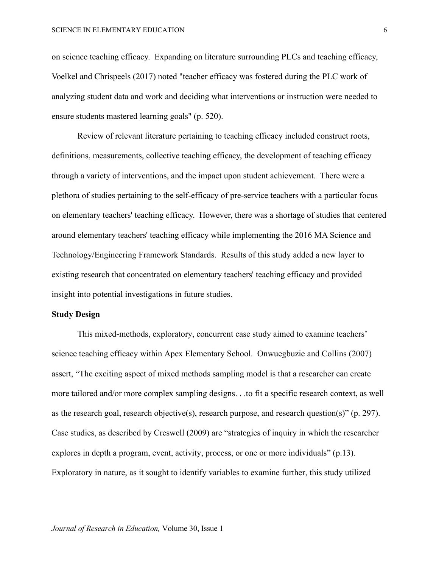on science teaching efficacy. Expanding on literature surrounding PLCs and teaching efficacy, Voelkel and Chrispeels (2017) noted "teacher efficacy was fostered during the PLC work of analyzing student data and work and deciding what interventions or instruction were needed to ensure students mastered learning goals" (p. 520).

Review of relevant literature pertaining to teaching efficacy included construct roots, definitions, measurements, collective teaching efficacy, the development of teaching efficacy through a variety of interventions, and the impact upon student achievement. There were a plethora of studies pertaining to the self-efficacy of pre-service teachers with a particular focus on elementary teachers' teaching efficacy. However, there was a shortage of studies that centered around elementary teachers' teaching efficacy while implementing the 2016 MA Science and Technology/Engineering Framework Standards. Results of this study added a new layer to existing research that concentrated on elementary teachers' teaching efficacy and provided insight into potential investigations in future studies.

#### **Study Design**

This mixed-methods, exploratory, concurrent case study aimed to examine teachers' science teaching efficacy within Apex Elementary School. Onwuegbuzie and Collins (2007) assert, "The exciting aspect of mixed methods sampling model is that a researcher can create more tailored and/or more complex sampling designs. . .to fit a specific research context, as well as the research goal, research objective(s), research purpose, and research question(s)" (p. 297). Case studies, as described by Creswell (2009) are "strategies of inquiry in which the researcher explores in depth a program, event, activity, process, or one or more individuals" (p.13). Exploratory in nature, as it sought to identify variables to examine further, this study utilized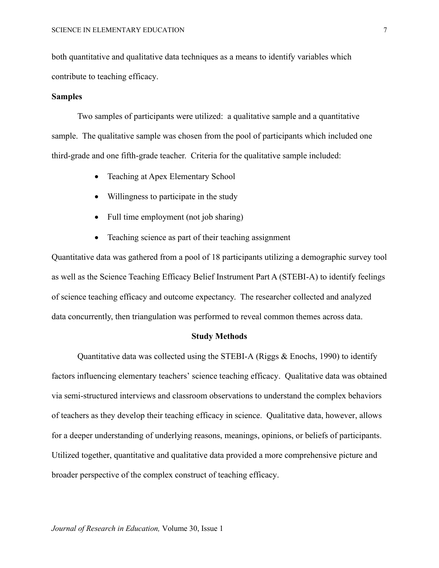both quantitative and qualitative data techniques as a means to identify variables which contribute to teaching efficacy.

### **Samples**

Two samples of participants were utilized: a qualitative sample and a quantitative sample. The qualitative sample was chosen from the pool of participants which included one third-grade and one fifth-grade teacher. Criteria for the qualitative sample included:

- Teaching at Apex Elementary School
- Willingness to participate in the study
- Full time employment (not job sharing)
- Teaching science as part of their teaching assignment

Quantitative data was gathered from a pool of 18 participants utilizing a demographic survey tool as well as the Science Teaching Efficacy Belief Instrument Part A (STEBI-A) to identify feelings of science teaching efficacy and outcome expectancy. The researcher collected and analyzed data concurrently, then triangulation was performed to reveal common themes across data.

#### **Study Methods**

Quantitative data was collected using the STEBI-A (Riggs & Enochs, 1990) to identify factors influencing elementary teachers' science teaching efficacy. Qualitative data was obtained via semi-structured interviews and classroom observations to understand the complex behaviors of teachers as they develop their teaching efficacy in science. Qualitative data, however, allows for a deeper understanding of underlying reasons, meanings, opinions, or beliefs of participants. Utilized together, quantitative and qualitative data provided a more comprehensive picture and broader perspective of the complex construct of teaching efficacy.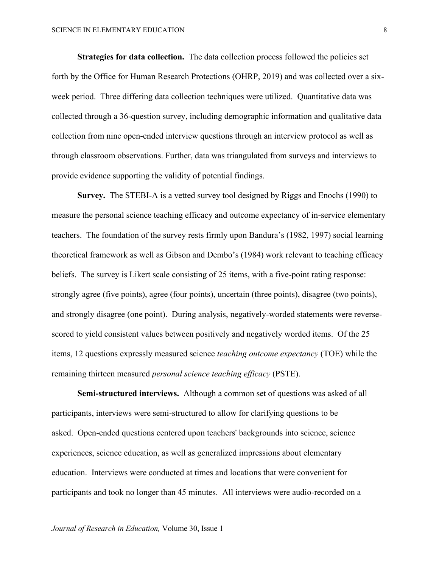**Strategies for data collection.** The data collection process followed the policies set forth by the Office for Human Research Protections (OHRP, 2019) and was collected over a sixweek period. Three differing data collection techniques were utilized. Quantitative data was collected through a 36-question survey, including demographic information and qualitative data collection from nine open-ended interview questions through an interview protocol as well as through classroom observations. Further, data was triangulated from surveys and interviews to provide evidence supporting the validity of potential findings.

**Survey.** The STEBI-A is a vetted survey tool designed by Riggs and Enochs (1990) to measure the personal science teaching efficacy and outcome expectancy of in-service elementary teachers. The foundation of the survey rests firmly upon Bandura's (1982, 1997) social learning theoretical framework as well as Gibson and Dembo's (1984) work relevant to teaching efficacy beliefs. The survey is Likert scale consisting of 25 items, with a five-point rating response: strongly agree (five points), agree (four points), uncertain (three points), disagree (two points), and strongly disagree (one point). During analysis, negatively-worded statements were reversescored to yield consistent values between positively and negatively worded items. Of the 25 items, 12 questions expressly measured science *teaching outcome expectancy* (TOE) while the remaining thirteen measured *personal science teaching efficacy* (PSTE).

**Semi-structured interviews.** Although a common set of questions was asked of all participants, interviews were semi-structured to allow for clarifying questions to be asked. Open-ended questions centered upon teachers' backgrounds into science, science experiences, science education, as well as generalized impressions about elementary education. Interviews were conducted at times and locations that were convenient for participants and took no longer than 45 minutes. All interviews were audio-recorded on a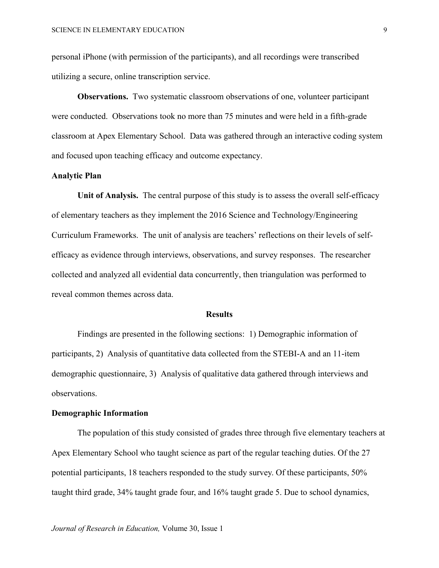personal iPhone (with permission of the participants), and all recordings were transcribed utilizing a secure, online transcription service.

**Observations.** Two systematic classroom observations of one, volunteer participant were conducted. Observations took no more than 75 minutes and were held in a fifth-grade classroom at Apex Elementary School. Data was gathered through an interactive coding system and focused upon teaching efficacy and outcome expectancy.

### **Analytic Plan**

**Unit of Analysis.** The central purpose of this study is to assess the overall self-efficacy of elementary teachers as they implement the 2016 Science and Technology/Engineering Curriculum Frameworks. The unit of analysis are teachers' reflections on their levels of selfefficacy as evidence through interviews, observations, and survey responses. The researcher collected and analyzed all evidential data concurrently, then triangulation was performed to reveal common themes across data.

#### **Results**

Findings are presented in the following sections: 1) Demographic information of participants, 2) Analysis of quantitative data collected from the STEBI-A and an 11-item demographic questionnaire, 3) Analysis of qualitative data gathered through interviews and observations.

#### **Demographic Information**

The population of this study consisted of grades three through five elementary teachers at Apex Elementary School who taught science as part of the regular teaching duties. Of the 27 potential participants, 18 teachers responded to the study survey. Of these participants, 50% taught third grade, 34% taught grade four, and 16% taught grade 5. Due to school dynamics,

*Journal of Research in Education,* Volume 30, Issue 1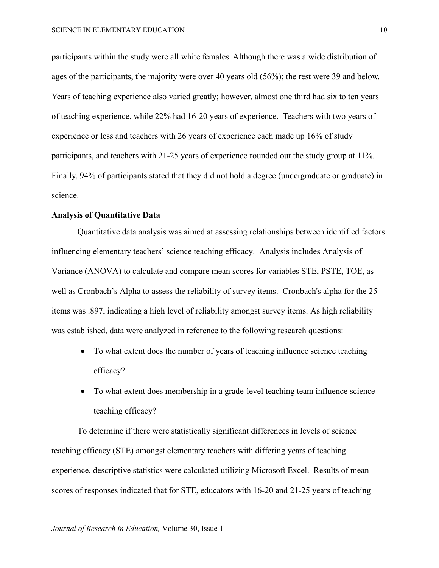participants within the study were all white females. Although there was a wide distribution of ages of the participants, the majority were over 40 years old (56%); the rest were 39 and below. Years of teaching experience also varied greatly; however, almost one third had six to ten years of teaching experience, while 22% had 16-20 years of experience. Teachers with two years of experience or less and teachers with 26 years of experience each made up 16% of study participants, and teachers with 21-25 years of experience rounded out the study group at 11%. Finally, 94% of participants stated that they did not hold a degree (undergraduate or graduate) in science.

# **Analysis of Quantitative Data**

Quantitative data analysis was aimed at assessing relationships between identified factors influencing elementary teachers' science teaching efficacy. Analysis includes Analysis of Variance (ANOVA) to calculate and compare mean scores for variables STE, PSTE, TOE, as well as Cronbach's Alpha to assess the reliability of survey items. Cronbach's alpha for the 25 items was .897, indicating a high level of reliability amongst survey items. As high reliability was established, data were analyzed in reference to the following research questions:

- To what extent does the number of years of teaching influence science teaching efficacy?
- To what extent does membership in a grade-level teaching team influence science teaching efficacy?

To determine if there were statistically significant differences in levels of science teaching efficacy (STE) amongst elementary teachers with differing years of teaching experience, descriptive statistics were calculated utilizing Microsoft Excel. Results of mean scores of responses indicated that for STE, educators with 16-20 and 21-25 years of teaching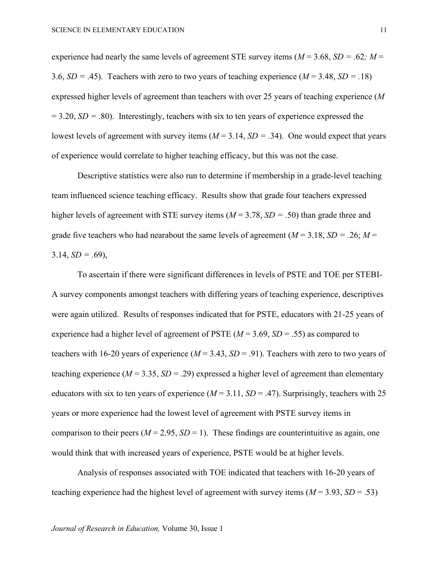experience had nearly the same levels of agreement STE survey items  $(M = 3.68, SD = .62; M =$ 3.6,  $SD = .45$ ). Teachers with zero to two years of teaching experience ( $M = 3.48$ ,  $SD = .18$ ) expressed higher levels of agreement than teachers with over 25 years of teaching experience (*M*  $= 3.20, SD = .80$ ). Interestingly, teachers with six to ten years of experience expressed the lowest levels of agreement with survey items  $(M = 3.14, SD = .34)$ . One would expect that years of experience would correlate to higher teaching efficacy, but this was not the case.

Descriptive statistics were also run to determine if membership in a grade-level teaching team influenced science teaching efficacy. Results show that grade four teachers expressed higher levels of agreement with STE survey items (*M* = 3.78, *SD = .*50) than grade three and grade five teachers who had nearabout the same levels of agreement ( $M = 3.18$ ,  $SD = .26$ ;  $M =$  $3.14, SD = .69$ ),

To ascertain if there were significant differences in levels of PSTE and TOE per STEBI-A survey components amongst teachers with differing years of teaching experience, descriptives were again utilized. Results of responses indicated that for PSTE, educators with 21-25 years of experience had a higher level of agreement of PSTE (*M* = 3.69, *SD* = .55) as compared to teachers with 16-20 years of experience  $(M = 3.43, SD = .91)$ . Teachers with zero to two years of teaching experience  $(M = 3.35, SD = .29)$  expressed a higher level of agreement than elementary educators with six to ten years of experience  $(M = 3.11, SD = .47)$ . Surprisingly, teachers with 25 years or more experience had the lowest level of agreement with PSTE survey items in comparison to their peers ( $M = 2.95$ ,  $SD = 1$ ). These findings are counterintuitive as again, one would think that with increased years of experience, PSTE would be at higher levels.

Analysis of responses associated with TOE indicated that teachers with 16-20 years of teaching experience had the highest level of agreement with survey items (*M* = 3.93, *SD* = .53)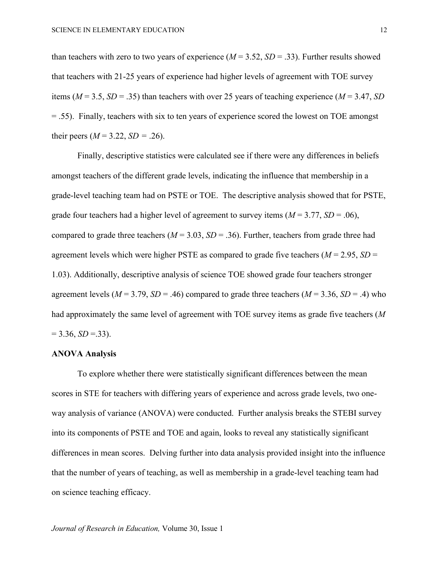than teachers with zero to two years of experience  $(M = 3.52, SD = .33)$ . Further results showed that teachers with 21-25 years of experience had higher levels of agreement with TOE survey items ( $M = 3.5$ ,  $SD = .35$ ) than teachers with over 25 years of teaching experience ( $M = 3.47$ ,  $SD$ = .55). Finally, teachers with six to ten years of experience scored the lowest on TOE amongst their peers ( $M = 3.22$ ,  $SD = .26$ ).

Finally, descriptive statistics were calculated see if there were any differences in beliefs amongst teachers of the different grade levels, indicating the influence that membership in a grade-level teaching team had on PSTE or TOE. The descriptive analysis showed that for PSTE, grade four teachers had a higher level of agreement to survey items  $(M = 3.77, SD = .06)$ , compared to grade three teachers ( $M = 3.03$ ,  $SD = .36$ ). Further, teachers from grade three had agreement levels which were higher PSTE as compared to grade five teachers  $(M = 2.95, SD =$ 1.03). Additionally, descriptive analysis of science TOE showed grade four teachers stronger agreement levels ( $M = 3.79$ ,  $SD = .46$ ) compared to grade three teachers ( $M = 3.36$ ,  $SD = .4$ ) who had approximately the same level of agreement with TOE survey items as grade five teachers (*M*  $= 3.36, SD = .33$ ).

#### **ANOVA Analysis**

To explore whether there were statistically significant differences between the mean scores in STE for teachers with differing years of experience and across grade levels, two oneway analysis of variance (ANOVA) were conducted. Further analysis breaks the STEBI survey into its components of PSTE and TOE and again, looks to reveal any statistically significant differences in mean scores. Delving further into data analysis provided insight into the influence that the number of years of teaching, as well as membership in a grade-level teaching team had on science teaching efficacy.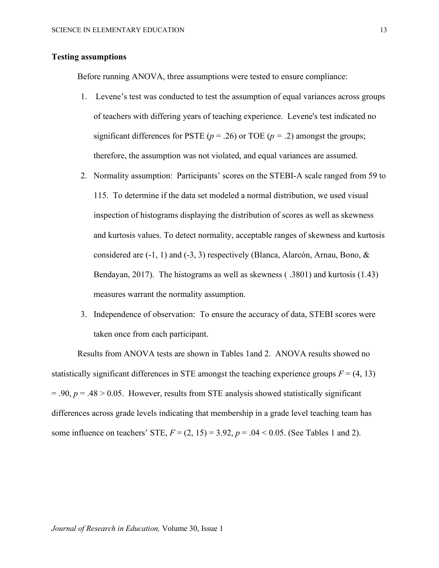## **Testing assumptions**

Before running ANOVA, three assumptions were tested to ensure compliance:

- 1. Levene's test was conducted to test the assumption of equal variances across groups of teachers with differing years of teaching experience. Levene's test indicated no significant differences for PSTE ( $p = .26$ ) or TOE ( $p = .2$ ) amongst the groups; therefore, the assumption was not violated, and equal variances are assumed.
- 2. Normality assumption: Participants' scores on the STEBI-A scale ranged from 59 to 115. To determine if the data set modeled a normal distribution, we used visual inspection of histograms displaying the distribution of scores as well as skewness and kurtosis values. To detect normality, acceptable ranges of skewness and kurtosis considered are  $(-1, 1)$  and  $(-3, 3)$  respectively (Blanca, Alarcón, Arnau, Bono, & Bendayan, 2017). The histograms as well as skewness ( .3801) and kurtosis (1.43) measures warrant the normality assumption.
- 3. Independence of observation: To ensure the accuracy of data, STEBI scores were taken once from each participant.

Results from ANOVA tests are shown in Tables 1and 2. ANOVA results showed no statistically significant differences in STE amongst the teaching experience groups  $F = (4, 13)$  $= .90, p = .48 > 0.05$ . However, results from STE analysis showed statistically significant differences across grade levels indicating that membership in a grade level teaching team has some influence on teachers' STE,  $F = (2, 15) = 3.92$ ,  $p = .04 < 0.05$ . (See Tables 1 and 2).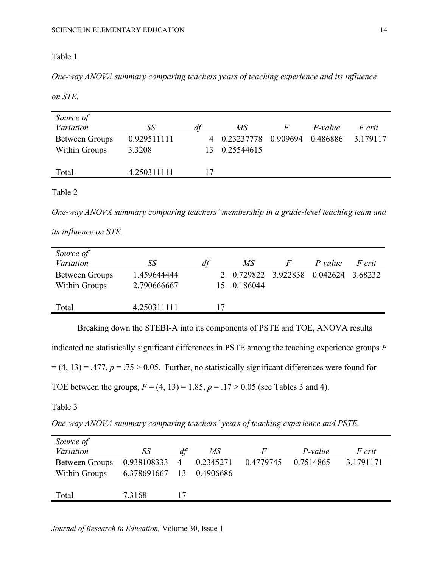# Table 1

*One-way ANOVA summary comparing teachers years of teaching experience and its influence* 

*on STE.*

| Source of<br>Variation                        | SS                    | df | МS                         | F        | P-value  | <i>F</i> crit |
|-----------------------------------------------|-----------------------|----|----------------------------|----------|----------|---------------|
| <b>Between Groups</b><br><b>Within Groups</b> | 0.929511111<br>3.3208 |    | 4 0.23237778<br>0.25544615 | 0.909694 | 0.486886 | 3.179117      |
| Total                                         | 4.250311111           |    |                            |          |          |               |

Table 2

*One-way ANOVA summary comparing teachers' membership in a grade-level teaching team and* 

*its influence on STE.*

| Source of<br>Variation          | SS                         | d1 | MS                              | P-value  | F crit  |
|---------------------------------|----------------------------|----|---------------------------------|----------|---------|
| Between Groups<br>Within Groups | 1.459644444<br>2.790666667 |    | 2 0.729822 3.922838<br>0.186044 | 0.042624 | 3.68232 |
| Total                           | 4.250311111                | 17 |                                 |          |         |

Breaking down the STEBI-A into its components of PSTE and TOE, ANOVA results

indicated no statistically significant differences in PSTE among the teaching experience groups *F*

 $= (4, 13) = .477$ ,  $p = .75 > 0.05$ . Further, no statistically significant differences were found for

TOE between the groups,  $F = (4, 13) = 1.85$ ,  $p = .17 > 0.05$  (see Tables 3 and 4).

Table 3

*One-way ANOVA summary comparing teachers' years of teaching experience and PSTE.*

| Source of      |                |    |           |           |           |               |
|----------------|----------------|----|-----------|-----------|-----------|---------------|
| Variation      | SS             | dt | МS        |           | P-value   | <i>F</i> crit |
| Between Groups | 0.938108333 4  |    | 0.2345271 | 0.4779745 | 0.7514865 | 3.1791171     |
| Within Groups  | 6.378691667 13 |    | 0.4906686 |           |           |               |
|                |                |    |           |           |           |               |
| Total          | 7.3168         |    |           |           |           |               |

*Journal of Research in Education,* Volume 30, Issue 1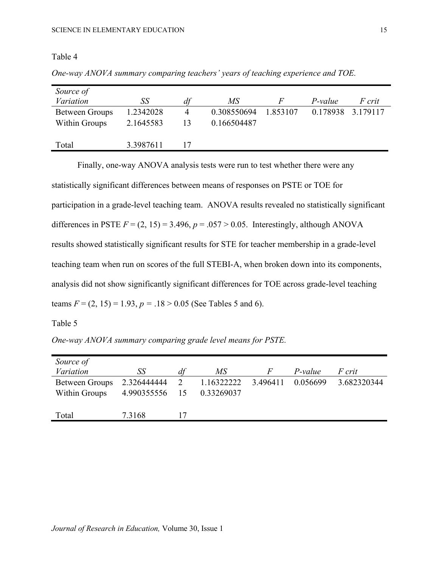# Table 4

| Source of      |           |    |             |          |          |               |
|----------------|-----------|----|-------------|----------|----------|---------------|
| Variation      | SS        | df | MS          |          | P-value  | <i>F</i> crit |
| Between Groups | 1.2342028 | 4  | 0.308550694 | 1.853107 | 0.178938 | 3.179117      |
| Within Groups  | 2.1645583 | 13 | 0.166504487 |          |          |               |
|                |           |    |             |          |          |               |
| Total          | 3.3987611 |    |             |          |          |               |

*One-way ANOVA summary comparing teachers' years of teaching experience and TOE.*

Finally, one-way ANOVA analysis tests were run to test whether there were any statistically significant differences between means of responses on PSTE or TOE for participation in a grade-level teaching team. ANOVA results revealed no statistically significant differences in PSTE  $F = (2, 15) = 3.496$ ,  $p = .057 > 0.05$ . Interestingly, although ANOVA results showed statistically significant results for STE for teacher membership in a grade-level teaching team when run on scores of the full STEBI-A, when broken down into its components, analysis did not show significantly significant differences for TOE across grade-level teaching teams  $F = (2, 15) = 1.93$ ,  $p = .18 > 0.05$  (See Tables 5 and 6).

# Table 5

*One-way ANOVA summary comparing grade level means for PSTE.*

| Source of                       |                            |    |                          |               |          |             |
|---------------------------------|----------------------------|----|--------------------------|---------------|----------|-------------|
| Variation                       | SS                         |    | MS                       | $\mathcal{F}$ | P-value  | F crit      |
| Between Groups<br>Within Groups | 2.326444444<br>4.990355556 | 15 | 1.16322222<br>0.33269037 | 3.496411      | 0.056699 | 3.682320344 |
| Total                           | 7.3168                     | 17 |                          |               |          |             |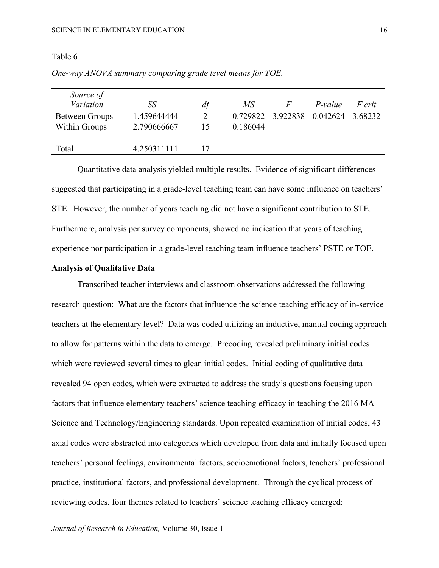## Table 6

| Source of<br>Variation          | SS                         | di | MS       | H                          | P-value | <i>F</i> crit |
|---------------------------------|----------------------------|----|----------|----------------------------|---------|---------------|
| Between Groups<br>Within Groups | 1.459644444<br>2.790666667 |    | 0.186044 | 0.729822 3.922838 0.042624 |         | 3.68232       |
| Total                           | 4.250311111                |    |          |                            |         |               |

*One-way ANOVA summary comparing grade level means for TOE.*

Quantitative data analysis yielded multiple results. Evidence of significant differences suggested that participating in a grade-level teaching team can have some influence on teachers' STE. However, the number of years teaching did not have a significant contribution to STE. Furthermore, analysis per survey components, showed no indication that years of teaching experience nor participation in a grade-level teaching team influence teachers' PSTE or TOE.

# **Analysis of Qualitative Data**

Transcribed teacher interviews and classroom observations addressed the following research question: What are the factors that influence the science teaching efficacy of in-service teachers at the elementary level? Data was coded utilizing an inductive, manual coding approach to allow for patterns within the data to emerge. Precoding revealed preliminary initial codes which were reviewed several times to glean initial codes. Initial coding of qualitative data revealed 94 open codes, which were extracted to address the study's questions focusing upon factors that influence elementary teachers' science teaching efficacy in teaching the 2016 MA Science and Technology/Engineering standards. Upon repeated examination of initial codes, 43 axial codes were abstracted into categories which developed from data and initially focused upon teachers' personal feelings, environmental factors, socioemotional factors, teachers' professional practice, institutional factors, and professional development. Through the cyclical process of reviewing codes, four themes related to teachers' science teaching efficacy emerged;

*Journal of Research in Education,* Volume 30, Issue 1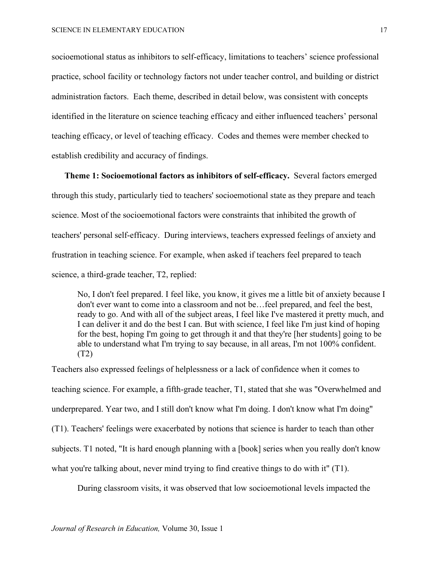socioemotional status as inhibitors to self-efficacy, limitations to teachers' science professional practice, school facility or technology factors not under teacher control, and building or district administration factors. Each theme, described in detail below, was consistent with concepts identified in the literature on science teaching efficacy and either influenced teachers' personal teaching efficacy, or level of teaching efficacy. Codes and themes were member checked to establish credibility and accuracy of findings.

**Theme 1: Socioemotional factors as inhibitors of self-efficacy.** Several factors emerged through this study, particularly tied to teachers' socioemotional state as they prepare and teach science. Most of the socioemotional factors were constraints that inhibited the growth of teachers' personal self-efficacy. During interviews, teachers expressed feelings of anxiety and frustration in teaching science. For example, when asked if teachers feel prepared to teach science, a third-grade teacher, T2, replied:

No, I don't feel prepared. I feel like, you know, it gives me a little bit of anxiety because I don't ever want to come into a classroom and not be…feel prepared, and feel the best, ready to go. And with all of the subject areas, I feel like I've mastered it pretty much, and I can deliver it and do the best I can. But with science, I feel like I'm just kind of hoping for the best, hoping I'm going to get through it and that they're [her students] going to be able to understand what I'm trying to say because, in all areas, I'm not 100% confident. (T2)

Teachers also expressed feelings of helplessness or a lack of confidence when it comes to teaching science. For example, a fifth-grade teacher, T1, stated that she was "Overwhelmed and underprepared. Year two, and I still don't know what I'm doing. I don't know what I'm doing" (T1). Teachers' feelings were exacerbated by notions that science is harder to teach than other subjects. T1 noted, "It is hard enough planning with a [book] series when you really don't know what you're talking about, never mind trying to find creative things to do with it" (T1).

During classroom visits, it was observed that low socioemotional levels impacted the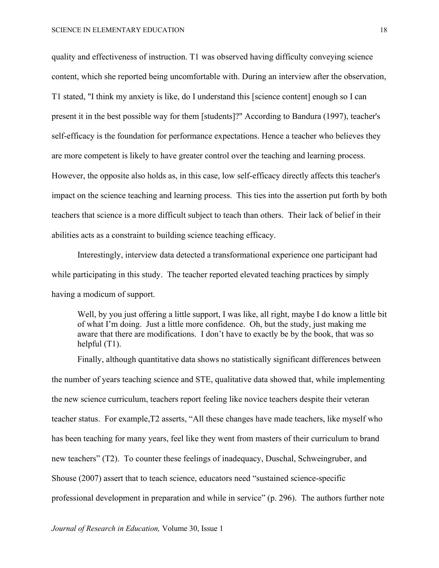quality and effectiveness of instruction. T1 was observed having difficulty conveying science content, which she reported being uncomfortable with. During an interview after the observation, T1 stated, "I think my anxiety is like, do I understand this [science content] enough so I can present it in the best possible way for them [students]?" According to Bandura (1997), teacher's self-efficacy is the foundation for performance expectations. Hence a teacher who believes they are more competent is likely to have greater control over the teaching and learning process. However, the opposite also holds as, in this case, low self-efficacy directly affects this teacher's impact on the science teaching and learning process. This ties into the assertion put forth by both teachers that science is a more difficult subject to teach than others. Their lack of belief in their abilities acts as a constraint to building science teaching efficacy.

Interestingly, interview data detected a transformational experience one participant had while participating in this study. The teacher reported elevated teaching practices by simply having a modicum of support.

Well, by you just offering a little support, I was like, all right, maybe I do know a little bit of what I'm doing. Just a little more confidence. Oh, but the study, just making me aware that there are modifications. I don't have to exactly be by the book, that was so helpful (T1).

Finally, although quantitative data shows no statistically significant differences between the number of years teaching science and STE, qualitative data showed that, while implementing the new science curriculum, teachers report feeling like novice teachers despite their veteran teacher status. For example,T2 asserts, "All these changes have made teachers, like myself who has been teaching for many years, feel like they went from masters of their curriculum to brand new teachers" (T2). To counter these feelings of inadequacy, Duschal, Schweingruber, and Shouse (2007) assert that to teach science, educators need "sustained science-specific professional development in preparation and while in service" (p. 296). The authors further note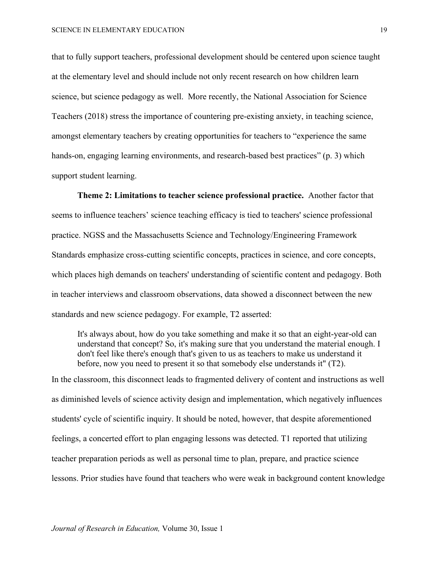that to fully support teachers, professional development should be centered upon science taught at the elementary level and should include not only recent research on how children learn science, but science pedagogy as well. More recently, the National Association for Science Teachers (2018) stress the importance of countering pre-existing anxiety, in teaching science, amongst elementary teachers by creating opportunities for teachers to "experience the same hands-on, engaging learning environments, and research-based best practices" (p. 3) which support student learning.

**Theme 2: Limitations to teacher science professional practice.** Another factor that seems to influence teachers' science teaching efficacy is tied to teachers' science professional practice. NGSS and the Massachusetts Science and Technology/Engineering Framework Standards emphasize cross-cutting scientific concepts, practices in science, and core concepts, which places high demands on teachers' understanding of scientific content and pedagogy. Both in teacher interviews and classroom observations, data showed a disconnect between the new standards and new science pedagogy. For example, T2 asserted:

It's always about, how do you take something and make it so that an eight-year-old can understand that concept? So, it's making sure that you understand the material enough. I don't feel like there's enough that's given to us as teachers to make us understand it before, now you need to present it so that somebody else understands it" (T2).

In the classroom, this disconnect leads to fragmented delivery of content and instructions as well as diminished levels of science activity design and implementation, which negatively influences students' cycle of scientific inquiry. It should be noted, however, that despite aforementioned feelings, a concerted effort to plan engaging lessons was detected. T1 reported that utilizing teacher preparation periods as well as personal time to plan, prepare, and practice science lessons. Prior studies have found that teachers who were weak in background content knowledge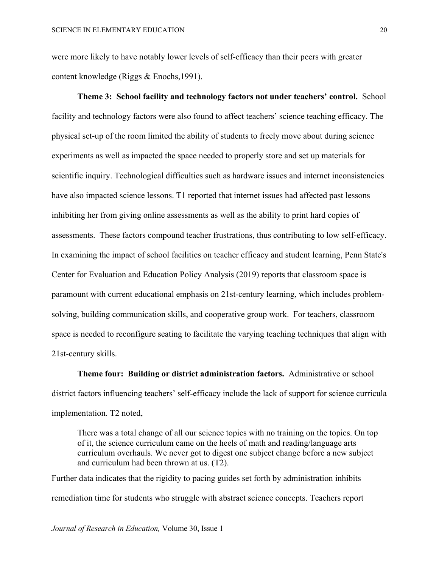were more likely to have notably lower levels of self-efficacy than their peers with greater content knowledge (Riggs & Enochs,1991).

**Theme 3: School facility and technology factors not under teachers' control.** School facility and technology factors were also found to affect teachers' science teaching efficacy. The physical set-up of the room limited the ability of students to freely move about during science experiments as well as impacted the space needed to properly store and set up materials for scientific inquiry. Technological difficulties such as hardware issues and internet inconsistencies have also impacted science lessons. T1 reported that internet issues had affected past lessons inhibiting her from giving online assessments as well as the ability to print hard copies of assessments. These factors compound teacher frustrations, thus contributing to low self-efficacy. In examining the impact of school facilities on teacher efficacy and student learning, Penn State's Center for Evaluation and Education Policy Analysis (2019) reports that classroom space is paramount with current educational emphasis on 21st-century learning, which includes problemsolving, building communication skills, and cooperative group work. For teachers, classroom space is needed to reconfigure seating to facilitate the varying teaching techniques that align with 21st-century skills.

**Theme four: Building or district administration factors.** Administrative or school district factors influencing teachers' self-efficacy include the lack of support for science curricula implementation. T2 noted,

There was a total change of all our science topics with no training on the topics. On top of it, the science curriculum came on the heels of math and reading/language arts curriculum overhauls. We never got to digest one subject change before a new subject and curriculum had been thrown at us. (T2).

Further data indicates that the rigidity to pacing guides set forth by administration inhibits remediation time for students who struggle with abstract science concepts. Teachers report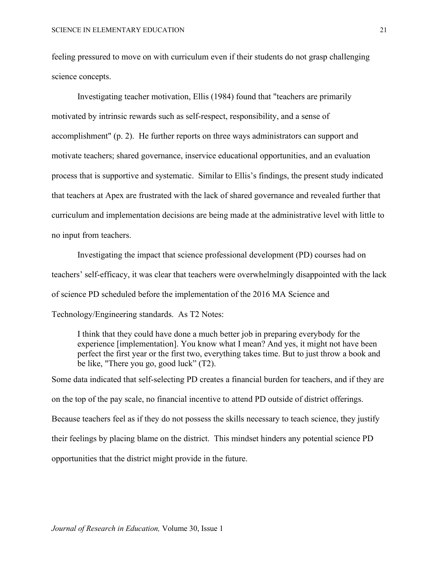feeling pressured to move on with curriculum even if their students do not grasp challenging science concepts.

Investigating teacher motivation, Ellis (1984) found that "teachers are primarily motivated by intrinsic rewards such as self-respect, responsibility, and a sense of accomplishment" (p. 2). He further reports on three ways administrators can support and motivate teachers; shared governance, inservice educational opportunities, and an evaluation process that is supportive and systematic. Similar to Ellis's findings, the present study indicated that teachers at Apex are frustrated with the lack of shared governance and revealed further that curriculum and implementation decisions are being made at the administrative level with little to no input from teachers.

Investigating the impact that science professional development (PD) courses had on teachers' self-efficacy, it was clear that teachers were overwhelmingly disappointed with the lack of science PD scheduled before the implementation of the 2016 MA Science and Technology/Engineering standards. As T2 Notes:

I think that they could have done a much better job in preparing everybody for the experience [implementation]. You know what I mean? And yes, it might not have been perfect the first year or the first two, everything takes time. But to just throw a book and be like, "There you go, good luck" (T2).

Some data indicated that self-selecting PD creates a financial burden for teachers, and if they are on the top of the pay scale, no financial incentive to attend PD outside of district offerings. Because teachers feel as if they do not possess the skills necessary to teach science, they justify their feelings by placing blame on the district. This mindset hinders any potential science PD opportunities that the district might provide in the future.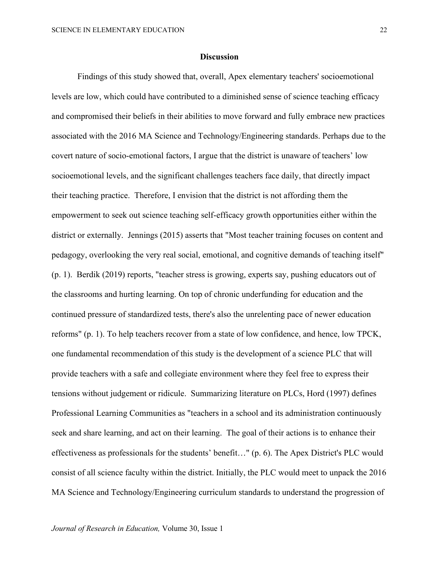#### **Discussion**

Findings of this study showed that, overall, Apex elementary teachers' socioemotional levels are low, which could have contributed to a diminished sense of science teaching efficacy and compromised their beliefs in their abilities to move forward and fully embrace new practices associated with the 2016 MA Science and Technology/Engineering standards. Perhaps due to the covert nature of socio-emotional factors, I argue that the district is unaware of teachers' low socioemotional levels, and the significant challenges teachers face daily, that directly impact their teaching practice. Therefore, I envision that the district is not affording them the empowerment to seek out science teaching self-efficacy growth opportunities either within the district or externally. Jennings (2015) asserts that "Most teacher training focuses on content and pedagogy, overlooking the very real social, emotional, and cognitive demands of teaching itself" (p. 1). Berdik (2019) reports, "teacher stress is growing, experts say, pushing educators out of the classrooms and hurting learning. On top of chronic underfunding for education and the continued pressure of standardized tests, there's also the unrelenting pace of newer education reforms" (p. 1). To help teachers recover from a state of low confidence, and hence, low TPCK, one fundamental recommendation of this study is the development of a science PLC that will provide teachers with a safe and collegiate environment where they feel free to express their tensions without judgement or ridicule. Summarizing literature on PLCs, Hord (1997) defines Professional Learning Communities as "teachers in a school and its administration continuously seek and share learning, and act on their learning. The goal of their actions is to enhance their effectiveness as professionals for the students' benefit…" (p. 6). The Apex District's PLC would consist of all science faculty within the district. Initially, the PLC would meet to unpack the 2016 MA Science and Technology/Engineering curriculum standards to understand the progression of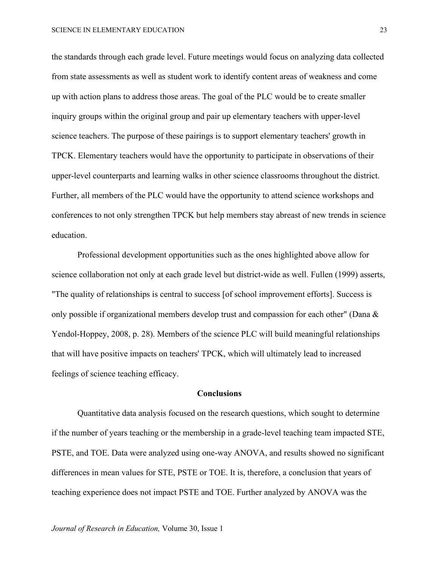the standards through each grade level. Future meetings would focus on analyzing data collected from state assessments as well as student work to identify content areas of weakness and come up with action plans to address those areas. The goal of the PLC would be to create smaller inquiry groups within the original group and pair up elementary teachers with upper-level science teachers. The purpose of these pairings is to support elementary teachers' growth in TPCK. Elementary teachers would have the opportunity to participate in observations of their upper-level counterparts and learning walks in other science classrooms throughout the district. Further, all members of the PLC would have the opportunity to attend science workshops and conferences to not only strengthen TPCK but help members stay abreast of new trends in science education.

Professional development opportunities such as the ones highlighted above allow for science collaboration not only at each grade level but district-wide as well. Fullen (1999) asserts, "The quality of relationships is central to success [of school improvement efforts]. Success is only possible if organizational members develop trust and compassion for each other" (Dana  $\&$ Yendol-Hoppey, 2008, p. 28). Members of the science PLC will build meaningful relationships that will have positive impacts on teachers' TPCK, which will ultimately lead to increased feelings of science teaching efficacy.

## **Conclusions**

Quantitative data analysis focused on the research questions, which sought to determine if the number of years teaching or the membership in a grade-level teaching team impacted STE, PSTE, and TOE. Data were analyzed using one-way ANOVA, and results showed no significant differences in mean values for STE, PSTE or TOE. It is, therefore, a conclusion that years of teaching experience does not impact PSTE and TOE. Further analyzed by ANOVA was the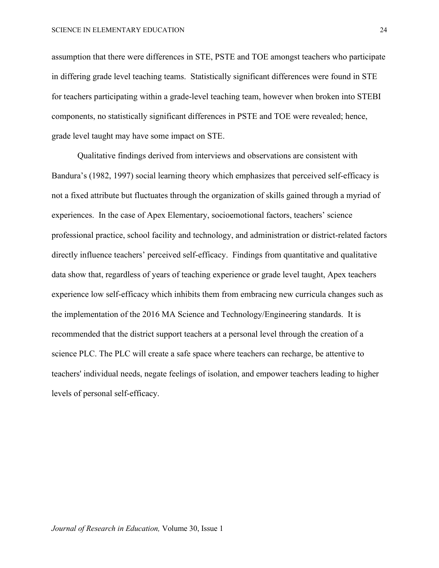assumption that there were differences in STE, PSTE and TOE amongst teachers who participate in differing grade level teaching teams. Statistically significant differences were found in STE for teachers participating within a grade-level teaching team, however when broken into STEBI components, no statistically significant differences in PSTE and TOE were revealed; hence, grade level taught may have some impact on STE.

Qualitative findings derived from interviews and observations are consistent with Bandura's (1982, 1997) social learning theory which emphasizes that perceived self-efficacy is not a fixed attribute but fluctuates through the organization of skills gained through a myriad of experiences. In the case of Apex Elementary, socioemotional factors, teachers' science professional practice, school facility and technology, and administration or district-related factors directly influence teachers' perceived self-efficacy. Findings from quantitative and qualitative data show that, regardless of years of teaching experience or grade level taught, Apex teachers experience low self-efficacy which inhibits them from embracing new curricula changes such as the implementation of the 2016 MA Science and Technology/Engineering standards. It is recommended that the district support teachers at a personal level through the creation of a science PLC. The PLC will create a safe space where teachers can recharge, be attentive to teachers' individual needs, negate feelings of isolation, and empower teachers leading to higher levels of personal self-efficacy.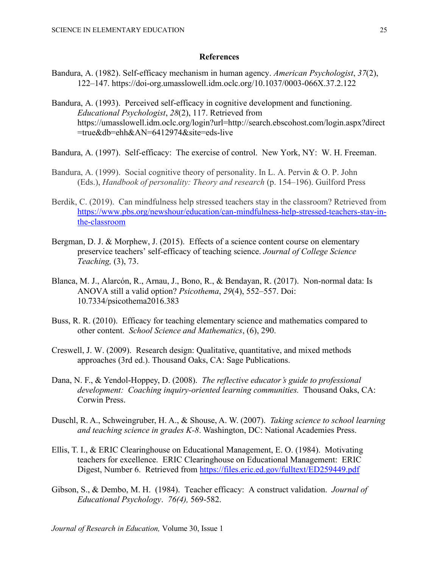## **References**

- Bandura, A. (1982). Self-efficacy mechanism in human agency. *American Psychologist*, *37*(2), 122–147. https://doi-org.umasslowell.idm.oclc.org/10.1037/0003-066X.37.2.122
- Bandura, A. (1993). Perceived self-efficacy in cognitive development and functioning. *Educational Psychologist*, *28*(2), 117. Retrieved from https://umasslowell.idm.oclc.org/login?url=http://search.ebscohost.com/login.aspx?direct =true&db=ehh&AN=6412974&site=eds-live
- Bandura, A. (1997). Self-efficacy: The exercise of control. New York, NY: W. H. Freeman.
- Bandura, A. (1999). Social cognitive theory of personality. In L. A. Pervin & O. P. John (Eds.), *Handbook of personality: Theory and research* (p. 154–196). Guilford Press
- Berdik, C. (2019). Can mindfulness help stressed teachers stay in the classroom? Retrieved from [https://www.pbs.org/newshour/education/can-mindfulness-help-stressed-teachers-stay-in](https://www.pbs.org/newshour/education/can-mindfulness-help-stressed-teachers-stay-in-the-classroom)[the-classroom](https://www.pbs.org/newshour/education/can-mindfulness-help-stressed-teachers-stay-in-the-classroom)
- Bergman, D. J. & Morphew, J. (2015). Effects of a science content course on elementary preservice teachers' self-efficacy of teaching science. *Journal of College Science Teaching,* (3), 73.
- Blanca, M. J., Alarcón, R., Arnau, J., Bono, R., & Bendayan, R. (2017). Non-normal data: Is ANOVA still a valid option? *Psicothema*, *29*(4), 552–557. Doi: 10.7334/psicothema2016.383
- Buss, R. R. (2010). Efficacy for teaching elementary science and mathematics compared to other content. *School Science and Mathematics*, (6), 290.
- Creswell, J. W. (2009). Research design: Qualitative, quantitative, and mixed methods approaches (3rd ed.). Thousand Oaks, CA: Sage Publications.
- Dana, N. F., & Yendol-Hoppey, D. (2008). *The reflective educator's guide to professional development: Coaching inquiry-oriented learning communities.* Thousand Oaks, CA: Corwin Press.
- Duschl, R. A., Schweingruber, H. A., & Shouse, A. W. (2007). *Taking science to school learning and teaching science in grades K-8*. Washington, DC: National Academies Press.
- Ellis, T. I., & ERIC Clearinghouse on Educational Management, E. O. (1984). Motivating teachers for excellence. ERIC Clearinghouse on Educational Management: ERIC Digest, Number 6. Retrieved from<https://files.eric.ed.gov/fulltext/ED259449.pdf>
- Gibson, S., & Dembo, M. H. (1984). Teacher efficacy: A construct validation. *Journal of Educational Psychology*. *76(4),* 569-582.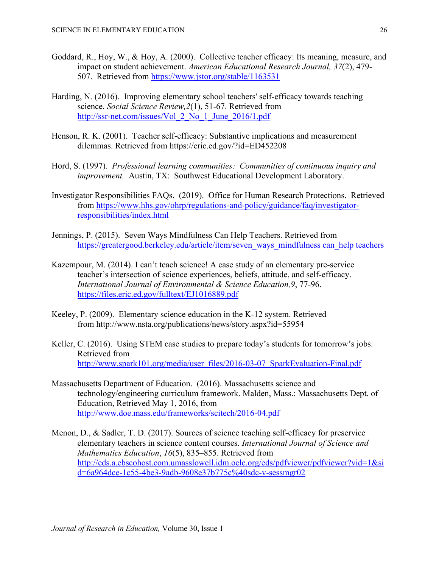- Goddard, R., Hoy, W., & Hoy, A. (2000). Collective teacher efficacy: Its meaning, measure, and impact on student achievement. *American Educational Research Journal, 37*(2), 479- 507. Retrieved from [https://www.jstor.org/stable/1163531](http://www.jstor.org/stable/1163531)
- Harding, N. (2016). Improving elementary school teachers' self-efficacy towards teaching science. *Social Science Review,2*(1), 51-67. Retrieved from [http://ssr-net.com/issues/Vol\\_2\\_No\\_1\\_June\\_2016/1.pdf](http://ssr-net.com/issues/Vol_2_No_1_June_2016/1.pdf)
- Henson, R. K. (2001). Teacher self-efficacy: Substantive implications and measurement dilemmas. Retrieved from<https://eric.ed.gov/?id=ED452208>
- Hord, S. (1997). *Professional learning communities: Communities of continuous inquiry and improvement.* Austin, TX: Southwest Educational Development Laboratory.
- Investigator Responsibilities FAQs. (2019). Office for Human Research Protections. Retrieved from [https://www.hhs.gov/ohrp/regulations-and-policy/guidance/faq/investigator](https://www.hhs.gov/ohrp/regulations-and-policy/guidance/faq/investigator-responsibilities/index.html)[responsibilities/index.html](https://www.hhs.gov/ohrp/regulations-and-policy/guidance/faq/investigator-responsibilities/index.html)
- Jennings, P. (2015). Seven Ways Mindfulness Can Help Teachers. Retrieved from [https://greatergood.berkeley.edu/article/item/seven\\_ways\\_mindfulness can\\_help teachers](https://greatergood.berkeley.edu/article/item/seven_ways_mindfulness%20can_help%20teachers)
- Kazempour, M. (2014). I can't teach science! A case study of an elementary pre-service teacher's intersection of science experiences, beliefs, attitude, and self-efficacy. *International Journal of Environmental & Science Education,9*, 77-96. <https://files.eric.ed.gov/fulltext/EJ1016889.pdf>
- Keeley, P. (2009). Elementary science education in the K-12 system. Retrieved from <http://www.nsta.org/publications/news/story.aspx?id=55954>
- Keller, C. (2016). Using STEM case studies to prepare today's students for tomorrow's jobs. Retrieved from [http://www.spark101.org/media/user\\_files/2016-03-07\\_SparkEvaluation-Final.pdf](http://www.spark101.org/media/user_files/2016-03-07_SparkEvaluation-Final.pdf)
- Massachusetts Department of Education. (2016). Massachusetts science and technology/engineering curriculum framework. Malden, Mass.: Massachusetts Dept. of Education, Retrieved May 1, 2016, from <http://www.doe.mass.edu/frameworks/scitech/2016-04.pdf>
- Menon, D., & Sadler, T. D. (2017). Sources of science teaching self-efficacy for preservice elementary teachers in science content courses. *International Journal of Science and Mathematics Education*, *16*(5), 835–855. Retrieved from [http://eds.a.ebscohost.com.umasslowell.idm.oclc.org/eds/pdfviewer/pdfviewer?vid=1&si](http://eds.a.ebscohost.com.umasslowell.idm.oclc.org/eds/pdfviewer/pdfviewer?vid=1&sid=6a964dce-1c55-4be3-9adb-9608e37b775c%40sdc-v-sessmgr02) [d=6a964dce-1c55-4be3-9adb-9608e37b775c%40sdc-v-sessmgr02](http://eds.a.ebscohost.com.umasslowell.idm.oclc.org/eds/pdfviewer/pdfviewer?vid=1&sid=6a964dce-1c55-4be3-9adb-9608e37b775c%40sdc-v-sessmgr02)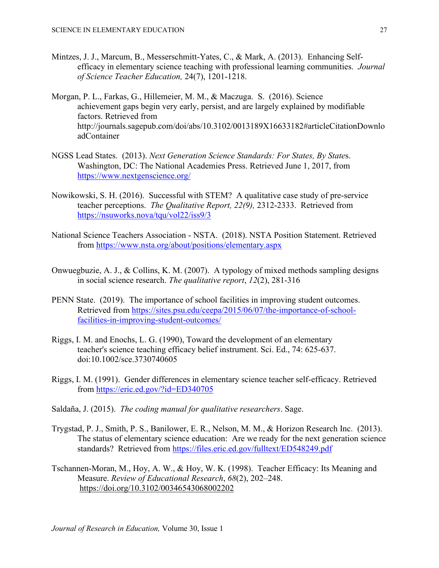- Mintzes, J. J., Marcum, B., Messerschmitt-Yates, C., & Mark, A. (2013). Enhancing Selfefficacy in elementary science teaching with professional learning communities. *Journal of Science Teacher Education,* 24(7), 1201-1218.
- Morgan, P. L., Farkas, G., Hillemeier, M. M., & Maczuga. S. (2016). Science achievement gaps begin very early, persist, and are largely explained by modifiable factors. Retrieved fro[m](http://journals.sagepub.com/doi/abs/10.3102/0013189X16633182#articleCitationDownloadContainer) [http://journals.sagepub.com/doi/abs/10.3102/0013189X16633182#articleCitationDownlo](http://journals.sagepub.com/doi/abs/10.3102/0013189X16633182#articleCitationDownloadContainerRetrieved) [adContainer](http://journals.sagepub.com/doi/abs/10.3102/0013189X16633182#articleCitationDownloadContainerRetrieved)
- NGSS Lead States. (2013). *Next Generation Science Standards: For States, By State*s. Washington, DC: The National Academies Press. Retrieved June 1, 2017, from <https://www.nextgenscience.org/>
- Nowikowski, S. H. (2016). Successful with STEM? A qualitative case study of pre-service teacher perceptions. *The Qualitative Report, 22(9),* 2312-2333. Retrieved from <https://nsuworks.nova/tqu/vol22/iss9/3>
- National Science Teachers Association NSTA. (2018). NSTA Position Statement. Retrieved from<https://www.nsta.org/about/positions/elementary.aspx>
- Onwuegbuzie, A. J., & Collins, K. M. (2007). A typology of mixed methods sampling designs in social science research. *The qualitative report*, *12*(2), 281-316
- PENN State. (2019). The importance of school facilities in improving student outcomes. Retrieved from [https://sites.psu.edu/ceepa/2015/06/07/the-importance-of-school](https://sites.psu.edu/ceepa/2015/06/07/the-importance-of-school-facilities-in-improving-student-outcomes/)[facilities-in-improving-student-outcomes/](https://sites.psu.edu/ceepa/2015/06/07/the-importance-of-school-facilities-in-improving-student-outcomes/)
- Riggs, I. M. and Enochs, L. G. (1990), Toward the development of an elementary teacher's science teaching efficacy belief instrument. Sci. Ed., 74: 625-637. doi[:10.1002/sce.3730740605](https://doi.org/10.1002/sce.3730740605)
- Riggs, I. M. (1991). Gender differences in elementary science teacher self-efficacy. Retrieved from <https://eric.ed.gov/?id=ED340705>
- Saldaña, J. (2015). *The coding manual for qualitative researchers*. Sage.
- Trygstad, P. J., Smith, P. S., Banilower, E. R., Nelson, M. M., & Horizon Research Inc. (2013). The status of elementary science education: Are we ready for the next generation science standards? Retrieved from<https://files.eric.ed.gov/fulltext/ED548249.pdf>
- Tschannen-Moran, M., Hoy, A. W., & Hoy, W. K. (1998). Teacher Efficacy: Its Meaning and Measure. *Review of Educational Research*, *68*(2), 202–248. <https://doi.org/10.3102/00346543068002202>